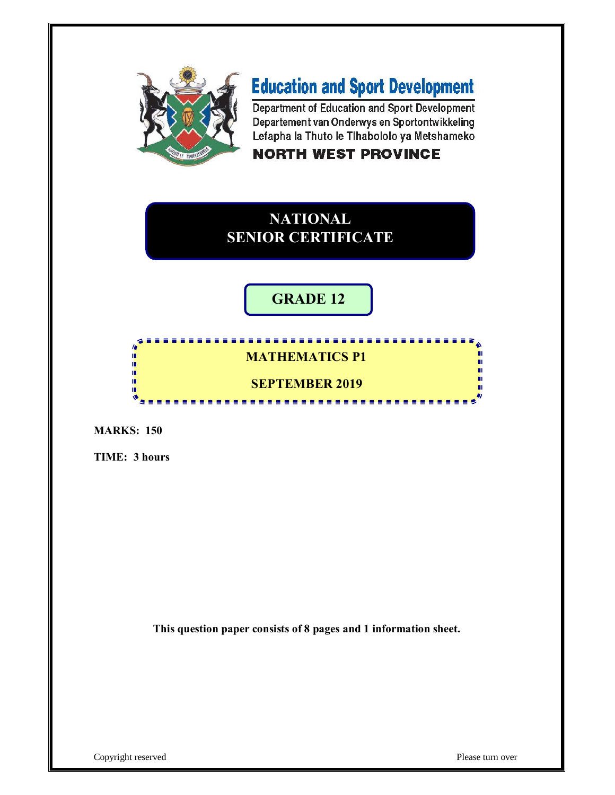

# **Education and Sport Development**

Department of Education and Sport Development Departement van Onderwys en Sportontwikkeling Lefapha la Thuto le Tihabololo ya Metshameko

### **NORTH WEST PROVINCE**

## **NATIONAL SENIOR CERTIFICATE**

## **GRADE 12**

#### ı.  **MATHEMATICS P1** Ĩ. I. **SEPTEMBER 2019**1È -------------

**MARKS: 150**

**TIME: 3 hours**

**This question paper consists of 8 pages and 1 information sheet.**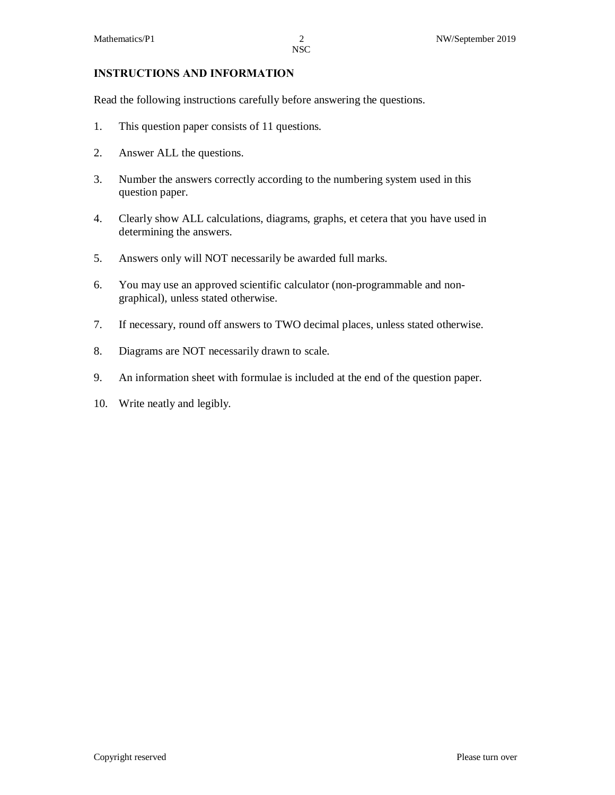#### **INSTRUCTIONS AND INFORMATION**

Read the following instructions carefully before answering the questions.

- 1. This question paper consists of 11 questions.
- 2. Answer ALL the questions.
- 3. Number the answers correctly according to the numbering system used in this question paper.
- 4. Clearly show ALL calculations, diagrams, graphs, et cetera that you have used in determining the answers.
- 5. Answers only will NOT necessarily be awarded full marks.
- 6. You may use an approved scientific calculator (non-programmable and nongraphical), unless stated otherwise.
- 7. If necessary, round off answers to TWO decimal places, unless stated otherwise.
- 8. Diagrams are NOT necessarily drawn to scale.
- 9. An information sheet with formulae is included at the end of the question paper.
- 10. Write neatly and legibly.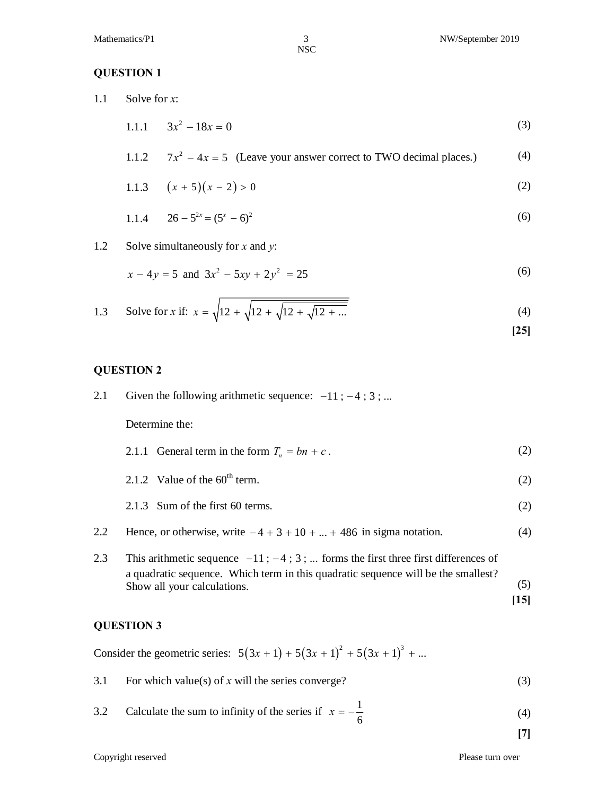#### **QUESTION 1**

1.1 Solve for *x*:

$$
1.1.1 \t 3x^2 - 18x = 0 \t (3)
$$

1.1.2 
$$
7x^2 - 4x = 5
$$
 (Leave your answer correct to TWO decimal places.) (4)

1.1.3 
$$
(x + 5)(x - 2) > 0
$$
 (2)

1.1.4 
$$
26 - 5^{2x} = (5^x - 6)^2
$$
 (6)

1.2 Solve simultaneously for *x* and *y*:

$$
x - 4y = 5 \text{ and } 3x^2 - 5xy + 2y^2 = 25 \tag{6}
$$

1.3 Solve for x if: 
$$
x = \sqrt{12 + \sqrt{12 + \sqrt{12 + \dots}}}
$$
 (4)

#### **QUESTION 2**

- 2.1 Given the following arithmetic sequence:  $-11$ ;  $-4$ ; 3; ... Determine the: 2.1.1 General term in the form  $T_n = bn + c$ . (2)
	- 2.1.2 Value of the  $60^{\text{th}}$  term. (2)
	- 2.1.3 Sum of the first 60 terms. (2)
- 2.2 Hence, or otherwise, write  $-4 + 3 + 10 + ... + 486$  in sigma notation. (4)
- 2.3 This arithmetic sequence  $-11$ ;  $-4$ ; 3; ... forms the first three first differences of a quadratic sequence. Which term in this quadratic sequence will be the smallest? Show all your calculations. (5)

#### **QUESTION 3**

Consider the geometric series:  $5(3x + 1) + 5(3x + 1)^2 + 5(3x + 1)^3 + ...$ 

3.1 For which value(s) of  $x$  will the series converge? (3)

3.2 Calculate the sum to infinity of the series if 
$$
x = -\frac{1}{6}
$$
 (4)

**[15]**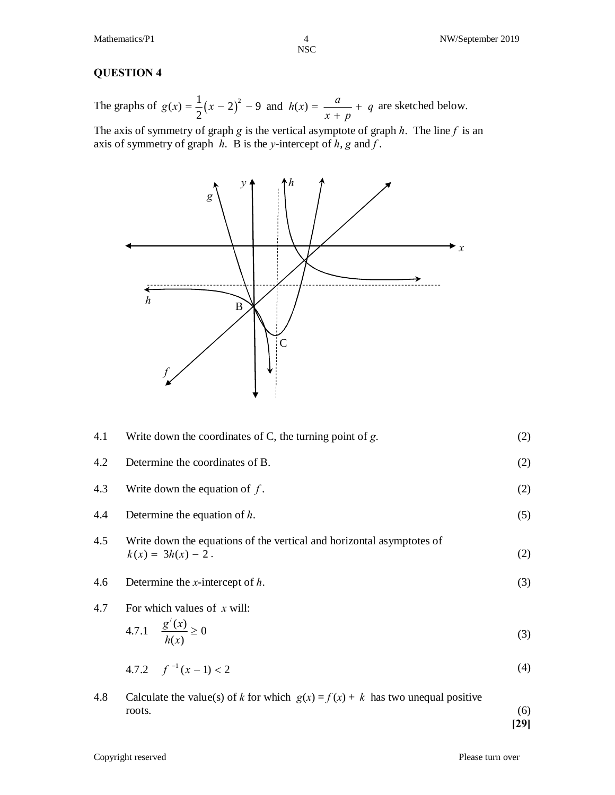$\frac{4}{NSC}$ 

#### **QUESTION 4**

The graphs of  $g(x) = \frac{1}{2}(x - 2)^2 - 9$  and  $h(x) = \frac{a}{x + p} + q$  $x + p$  $=\frac{1}{2}(x-2)^2-9$  and  $h(x) = \frac{u}{x} + \frac{1}{2}$ + are sketched below.

The axis of symmetry of graph *g* is the vertical asymptote of graph *h*. The line *f* is an axis of symmetry of graph *h*. B is the *y*-intercept of *h*, *g* and *f* .



| 4.1 | Write down the coordinates of C, the turning point of $g$ .                                   |     |
|-----|-----------------------------------------------------------------------------------------------|-----|
| 4.2 | Determine the coordinates of B.                                                               | (2) |
| 4.3 | Write down the equation of $f$ .                                                              | (2) |
| 4.4 | Determine the equation of $h$ .                                                               | (5) |
| 4.5 | Write down the equations of the vertical and horizontal asymptotes of<br>$k(x) = 3h(x) - 2$ . | (2) |
| 4.6 | Determine the <i>x</i> -intercept of $h$ .                                                    | (3) |
| 4.7 | For which values of $x$ will:                                                                 |     |
|     | 4.7.1 $\frac{g'(x)}{h(x)} \ge 0$                                                              | (3) |
|     | 4.7.2 $f^{-1}(x-1) < 2$                                                                       | (4) |
|     |                                                                                               |     |

4.8 Calculate the value(s) of *k* for which  $g(x) = f(x) + k$  has two unequal positive  $\frac{1}{6}$  roots. **[29]**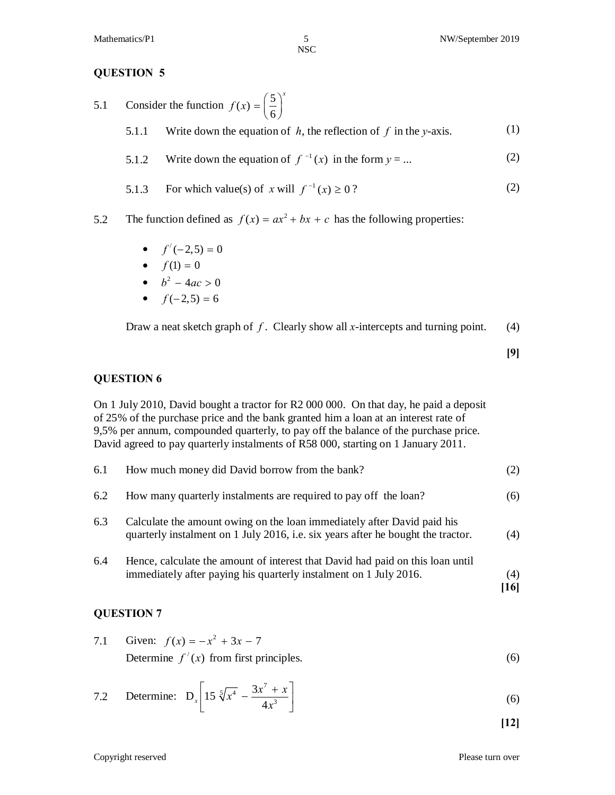#### **QUESTION 5**

- 5.1 Consider the function  $f(x) = \left(\frac{5}{6}\right)^x$ 5.1.1 Write down the equation of  $h$ , the reflection of  $f$  in the *y*-axis. (1)
	- 5.1.2 Write down the equation of  $f^{-1}(x)$  in the form  $y = ...$  (2)
	- 5.1.3 For which value(s) of *x* will  $f^{-1}(x) \ge 0$ ? (2)
- 5.2 The function defined as  $f(x) = ax^2 + bx + c$  has the following properties:
	- $f'(-2,5) = 0$
	- $f(1) = 0$
	- $b^2 4ac > 0$
	- $f(-2,5) = 6$

Draw a neat sketch graph of *f*. Clearly show all *x*-intercepts and turning point. (4)

**[9]**

#### **QUESTION 6**

On 1 July 2010, David bought a tractor for R2 000 000. On that day, he paid a deposit of 25% of the purchase price and the bank granted him a loan at an interest rate of 9,5% per annum, compounded quarterly, to pay off the balance of the purchase price. David agreed to pay quarterly instalments of R58 000, starting on 1 January 2011.

| 6.1 | How much money did David borrow from the bank?                                                                                                              | (2)         |
|-----|-------------------------------------------------------------------------------------------------------------------------------------------------------------|-------------|
| 6.2 | How many quarterly instalments are required to pay off the loan?                                                                                            | (6)         |
| 6.3 | Calculate the amount owing on the loan immediately after David paid his<br>quarterly instalment on 1 July 2016, i.e. six years after he bought the tractor. | (4)         |
| 6.4 | Hence, calculate the amount of interest that David had paid on this loan until<br>immediately after paying his quarterly instalment on 1 July 2016.         | (4)<br>[16] |

#### **QUESTION 7**

7.1 Given: 
$$
f(x) = -x^2 + 3x - 7
$$
  
Determine  $f'(x)$  from first principles. (6)

7.2 Determine: 
$$
D_x \left[ 15 \sqrt[5]{x^4} - \frac{3x^7 + x}{4x^3} \right]
$$
 (6)

**[12]**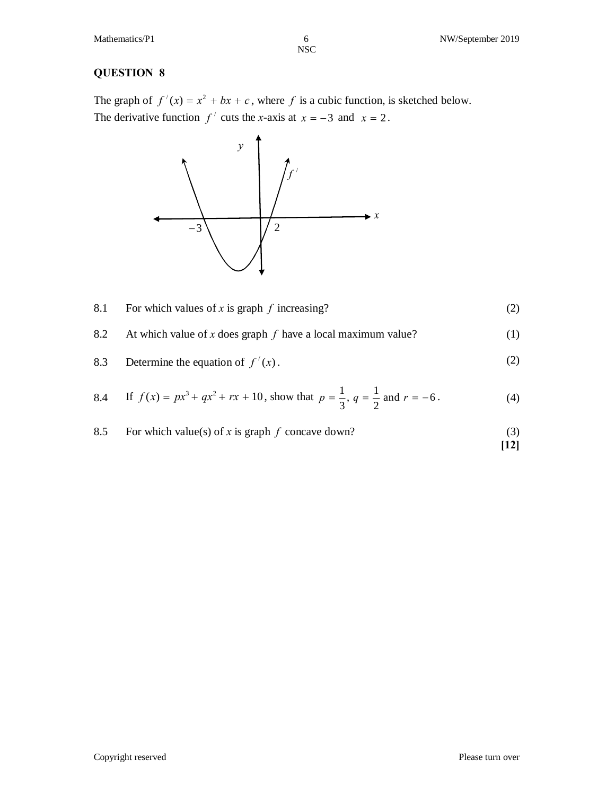#### **QUESTION 8**

The graph of  $f'(x) = x^2 + bx + c$ , where f is a cubic function, is sketched below. The derivative function  $f'$  cuts the *x*-axis at  $x = -3$  and  $x = 2$ .



| 8.1 | For which values of x is graph $f$ increasing?                     | (2) |
|-----|--------------------------------------------------------------------|-----|
|     | 8.2 At which value of x does graph $f$ have a local maximum value? | (1) |
| 8.3 | Determine the equation of $f'(x)$ .                                | (2) |

8.4 If 
$$
f(x) = px^3 + qx^2 + rx + 10
$$
, show that  $p = \frac{1}{3}$ ,  $q = \frac{1}{2}$  and  $r = -6$ . (4)

8.5 For which value(s) of x is graph f concave down? 
$$
(3)
$$
 [12]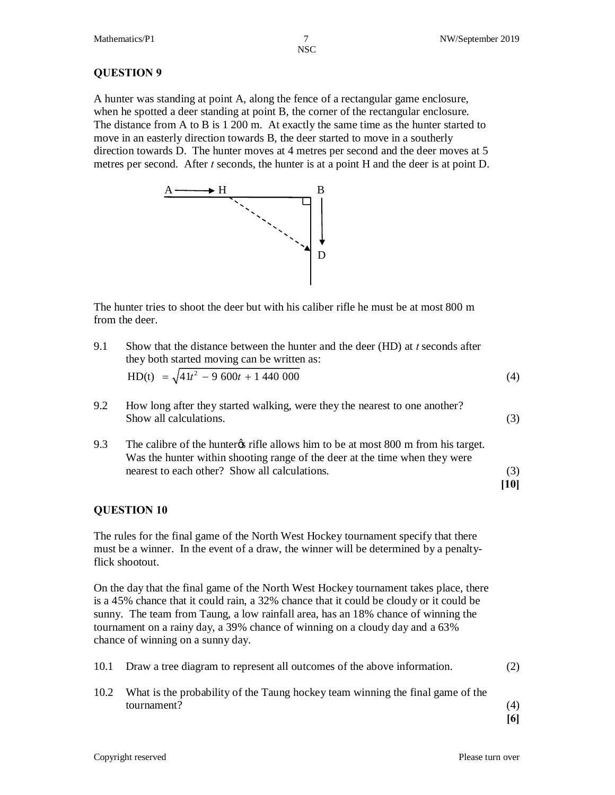#### **QUESTION 9**

A hunter was standing at point A, along the fence of a rectangular game enclosure, when he spotted a deer standing at point B, the corner of the rectangular enclosure. The distance from A to B is 1 200 m. At exactly the same time as the hunter started to move in an easterly direction towards B, the deer started to move in a southerly direction towards D. The hunter moves at 4 metres per second and the deer moves at 5 metres per second. After *t* seconds, the hunter is at a point H and the deer is at point D.



The hunter tries to shoot the deer but with his caliber rifle he must be at most 800 m from the deer.

- 9.1 Show that the distance between the hunter and the deer (HD) at *t* seconds after they both started moving can be written as:  $HD(t) = \sqrt{41t^2 - 9600t + 1440000}$  (4)
- 9.2 How long after they started walking, were they the nearest to one another? Show all calculations. (3)
- 9.3 The calibre of the hunter<sub>\$</sub> rifle allows him to be at most 800 m from his target. Was the hunter within shooting range of the deer at the time when they were nearest to each other? Show all calculations. (3)

#### **[10]**

#### **QUESTION 10**

The rules for the final game of the North West Hockey tournament specify that there must be a winner. In the event of a draw, the winner will be determined by a penaltyflick shootout.

On the day that the final game of the North West Hockey tournament takes place, there is a 45% chance that it could rain, a 32% chance that it could be cloudy or it could be sunny. The team from Taung, a low rainfall area, has an 18% chance of winning the tournament on a rainy day, a 39% chance of winning on a cloudy day and a 63% chance of winning on a sunny day.

| 10.1 Draw a tree diagram to represent all outcomes of the above information. |  |  |
|------------------------------------------------------------------------------|--|--|
|                                                                              |  |  |

10.2 What is the probability of the Taung hockey team winning the final game of the tournament? (4)

**[6]**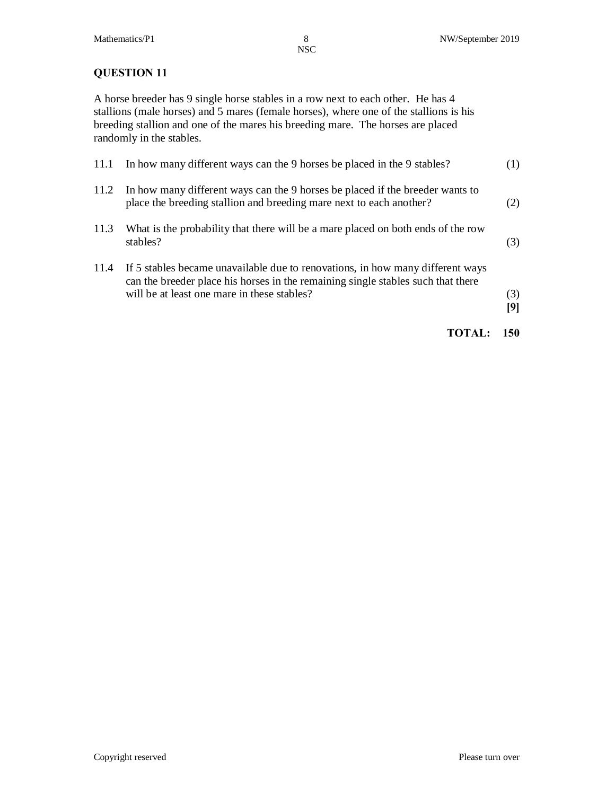#### **QUESTION 11**

A horse breeder has 9 single horse stables in a row next to each other. He has 4 stallions (male horses) and 5 mares (female horses), where one of the stallions is his breeding stallion and one of the mares his breeding mare. The horses are placed randomly in the stables.

| 11.1 | In how many different ways can the 9 horses be placed in the 9 stables?                                                                                                                                           | (1) |
|------|-------------------------------------------------------------------------------------------------------------------------------------------------------------------------------------------------------------------|-----|
| 11.2 | In how many different ways can the 9 horses be placed if the breeder wants to<br>place the breeding stallion and breeding mare next to each another?                                                              | (2) |
| 11.3 | What is the probability that there will be a mare placed on both ends of the row<br>stables?                                                                                                                      | (3) |
| 11.4 | If 5 stables became unavailable due to renovations, in how many different ways<br>can the breeder place his horses in the remaining single stables such that there<br>will be at least one mare in these stables? | (3) |

**TOTAL: 150**